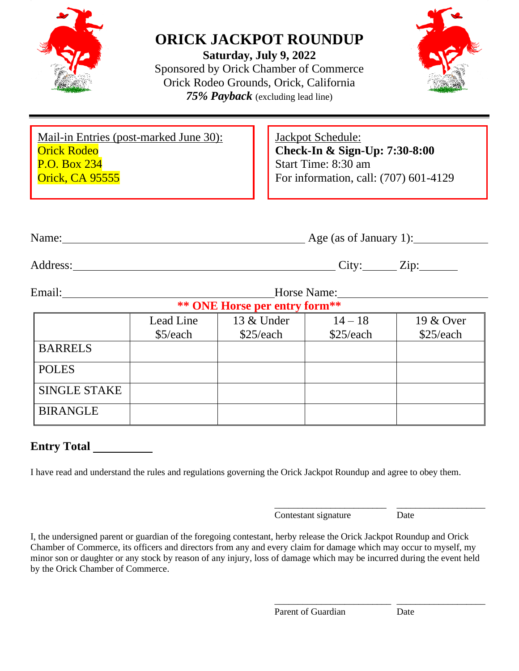

# **ORICK JACKPOT ROUNDUP**

**Saturday, July 9, 2022** Sponsored by Orick Chamber of Commerce Orick Rodeo Grounds, Orick, California *75% Payback* (excluding lead line)



| Mail-in Entries (post-marked June 30): | Jackpot Schedule:                     |
|----------------------------------------|---------------------------------------|
| <b>Orick Rodeo</b>                     | Check-In & Sign-Up: 7:30-8:00         |
| <b>P.O. Box 234</b>                    | Start Time: 8:30 am                   |
| <b>Orick, CA 95555</b>                 | For information, call: (707) 601-4129 |
|                                        |                                       |

| Adc<br>$\sim$ $\sim$ $\sim$ $\sim$<br>Tress. | ◡ェ◟ | $\overline{\phantom{0}}$<br>.1n: |
|----------------------------------------------|-----|----------------------------------|

Name: Age (as of January 1):

Email: Horse Name: Horse Name: **Horse per entry form\*\*** 

| " " UNE HOTSE DET EINTY IOTHE |           |            |           |           |  |  |
|-------------------------------|-----------|------------|-----------|-----------|--|--|
|                               | Lead Line | 13 & Under | $14 - 18$ | 19 & Over |  |  |
|                               | \$5/each  | \$25/each  | \$25/each | \$25/each |  |  |
| <b>BARRELS</b>                |           |            |           |           |  |  |
| <b>POLES</b>                  |           |            |           |           |  |  |
| <b>SINGLE STAKE</b>           |           |            |           |           |  |  |
| <b>BIRANGLE</b>               |           |            |           |           |  |  |

## **Entry Total**

I have read and understand the rules and regulations governing the Orick Jackpot Roundup and agree to obey them.

\_\_\_\_\_\_\_\_\_\_\_\_\_\_\_\_\_\_\_\_\_\_\_\_ \_\_\_\_\_\_\_\_\_\_\_\_\_\_\_\_\_\_\_ Contestant signature Date

I, the undersigned parent or guardian of the foregoing contestant, herby release the Orick Jackpot Roundup and Orick Chamber of Commerce, its officers and directors from any and every claim for damage which may occur to myself, my minor son or daughter or any stock by reason of any injury, loss of damage which may be incurred during the event held by the Orick Chamber of Commerce.

Parent of Guardian Date

\_\_\_\_\_\_\_\_\_\_\_\_\_\_\_\_\_\_\_\_\_\_\_\_\_ \_\_\_\_\_\_\_\_\_\_\_\_\_\_\_\_\_\_\_